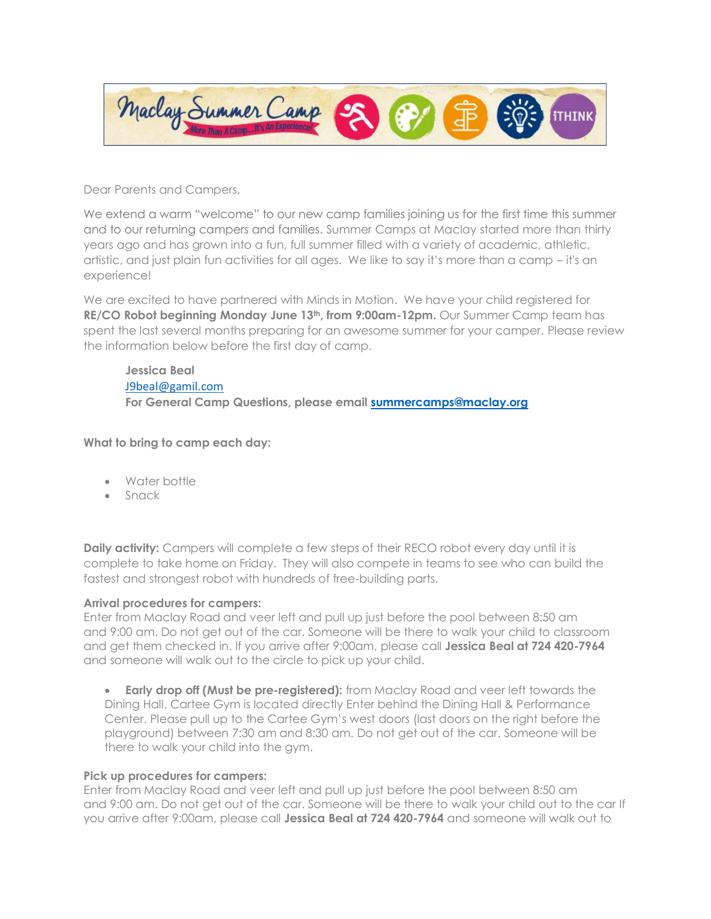

Dear Parents and Campers,

We extend a warm "welcome" to our new camp families joining us for the first time this summer and to our returning campers and families. Summer Camps at Maclay started more than thirty years ago and has grown into a fun, full summer filled with a variety of academic, athletic, artistic, and just plain fun activities for all ages. We like to say it's more than a camp – it's an experience!

We are excited to have partnered with Minds in Motion. We have your child registered for **RE/CO Robot beginning Monday June 13th, from 9:00am-12pm.** Our Summer Camp team has spent the last several months preparing for an awesome summer for your camper. Please review the information below before the first day of camp.

# **Jessica Beal** [J9beal@gamil.com](mailto:J9beal@gamil.com) **For General Camp Questions, please email [summercamps@maclay.org](mailto:summercamps@maclay.org)**

## **What to bring to camp each day:**

- Water bottle
- Snack

**Daily activity:** Campers will complete a few steps of their RECO robot every day until it is complete to take home on Friday. They will also compete in teams to see who can build the fastest and strongest robot with hundreds of free-building parts.

### **Arrival procedures for campers:**

Enter from Maclay Road and veer left and pull up just before the pool between 8:50 am and 9:00 am. Do not get out of the car. Someone will be there to walk your child to classroom and get them checked in. If you arrive after 9:00am, please call **Jessica Beal at 724 420-7964** and someone will walk out to the circle to pick up your child.

• **Early drop off (Must be pre-registered):** from Maclay Road and veer left towards the Dining Hall. Cartee Gym is located directly Enter behind the Dining Hall & Performance Center. Please pull up to the Cartee Gym's west doors (last doors on the right before the playground) between 7:30 am and 8:30 am. Do not get out of the car. Someone will be there to walk your child into the gym.

### **Pick up procedures for campers:**

Enter from Maclay Road and veer left and pull up just before the pool between 8:50 am and 9:00 am. Do not get out of the car. Someone will be there to walk your child out to the car If you arrive after 9:00am, please call **Jessica Beal at 724 420-7964** and someone will walk out to